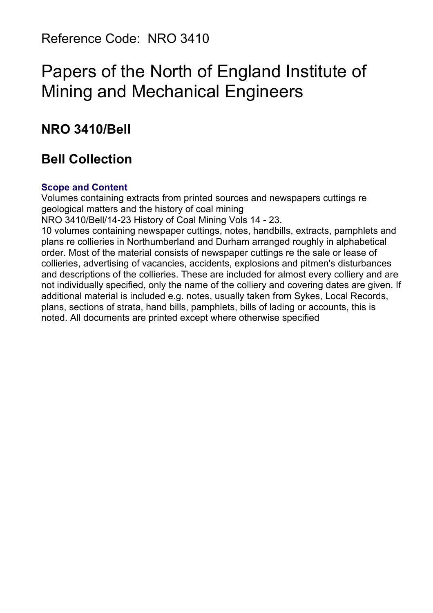Reference Code: NRO 3410

# Papers of the North of England Institute of Mining and Mechanical Engineers

# **NRO 3410/Bell**

# **Bell Collection**

#### **Scope and Content**

Volumes containing extracts from printed sources and newspapers cuttings re geological matters and the history of coal mining

NRO 3410/Bell/14-23 History of Coal Mining Vols 14 - 23.

10 volumes containing newspaper cuttings, notes, handbills, extracts, pamphlets and plans re collieries in Northumberland and Durham arranged roughly in alphabetical order. Most of the material consists of newspaper cuttings re the sale or lease of collieries, advertising of vacancies, accidents, explosions and pitmen's disturbances and descriptions of the collieries. These are included for almost every colliery and are not individually specified, only the name of the colliery and covering dates are given. If additional material is included e.g. notes, usually taken from Sykes, Local Records, plans, sections of strata, hand bills, pamphlets, bills of lading or accounts, this is noted. All documents are printed except where otherwise specified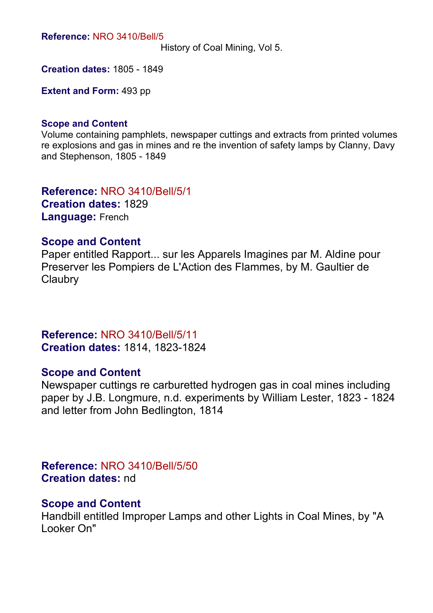**Reference:** NRO 3410/Bell/5

History of Coal Mining, Vol 5.

**Creation dates:** 1805 - 1849

**Extent and Form:** 493 pp

#### **Scope and Content**

Volume containing pamphlets, newspaper cuttings and extracts from printed volumes re explosions and gas in mines and re the invention of safety lamps by Clanny, Davy and Stephenson, 1805 - 1849

**Reference:** NRO 3410/Bell/5/1 **Creation dates:** 1829 **Language:** French

#### **Scope and Content**

Paper entitled Rapport... sur les Apparels Imagines par M. Aldine pour Preserver les Pompiers de L'Action des Flammes, by M. Gaultier de **Claubry** 

**Reference:** NRO 3410/Bell/5/11 **Creation dates:** 1814, 1823-1824

#### **Scope and Content**

Newspaper cuttings re carburetted hydrogen gas in coal mines including paper by J.B. Longmure, n.d. experiments by William Lester, 1823 - 1824 and letter from John Bedlington, 1814

**Reference:** NRO 3410/Bell/5/50 **Creation dates:** nd

#### **Scope and Content**

Handbill entitled Improper Lamps and other Lights in Coal Mines, by "A Looker On"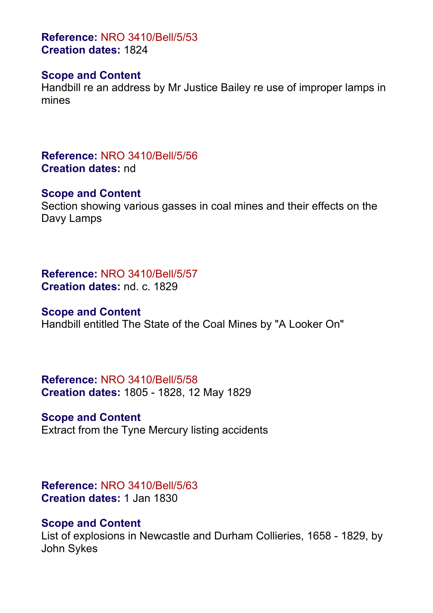**Reference:** NRO 3410/Bell/5/53 **Creation dates:** 1824

#### **Scope and Content**

Handbill re an address by Mr Justice Bailey re use of improper lamps in mines

**Reference:** NRO 3410/Bell/5/56 **Creation dates:** nd

#### **Scope and Content**

Section showing various gasses in coal mines and their effects on the Davy Lamps

**Reference:** NRO 3410/Bell/5/57 **Creation dates:** nd. c. 1829

#### **Scope and Content**

Handbill entitled The State of the Coal Mines by "A Looker On"

**Reference:** NRO 3410/Bell/5/58 **Creation dates:** 1805 - 1828, 12 May 1829

**Scope and Content** Extract from the Tyne Mercury listing accidents

**Reference:** NRO 3410/Bell/5/63 **Creation dates:** 1 Jan 1830

#### **Scope and Content**

List of explosions in Newcastle and Durham Collieries, 1658 - 1829, by John Sykes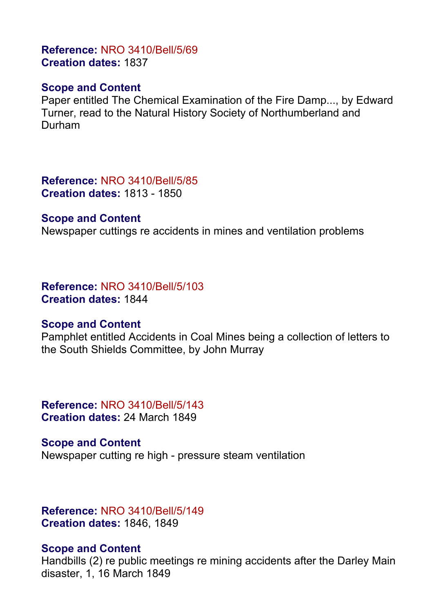# **Reference:** NRO 3410/Bell/5/69 **Creation dates:** 1837

## **Scope and Content**

Paper entitled The Chemical Examination of the Fire Damp..., by Edward Turner, read to the Natural History Society of Northumberland and Durham

**Reference:** NRO 3410/Bell/5/85 **Creation dates:** 1813 - 1850

#### **Scope and Content**

Newspaper cuttings re accidents in mines and ventilation problems

**Reference:** NRO 3410/Bell/5/103 **Creation dates:** 1844

#### **Scope and Content**

Pamphlet entitled Accidents in Coal Mines being a collection of letters to the South Shields Committee, by John Murray

**Reference:** NRO 3410/Bell/5/143 **Creation dates:** 24 March 1849

**Scope and Content** Newspaper cutting re high - pressure steam ventilation

**Reference:** NRO 3410/Bell/5/149 **Creation dates:** 1846, 1849

## **Scope and Content**

Handbills (2) re public meetings re mining accidents after the Darley Main disaster, 1, 16 March 1849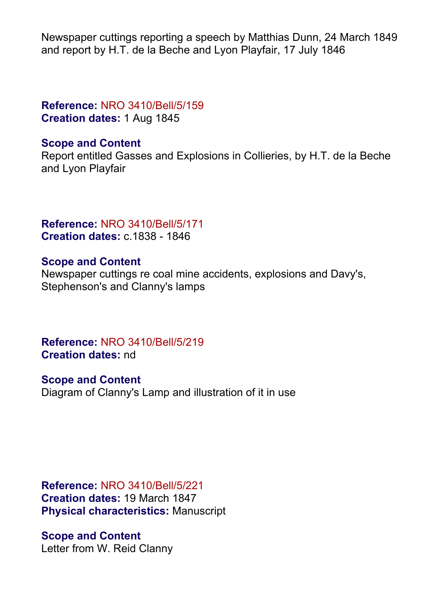Newspaper cuttings reporting a speech by Matthias Dunn, 24 March 1849 and report by H.T. de la Beche and Lyon Playfair, 17 July 1846

# **Reference:** NRO 3410/Bell/5/159 **Creation dates:** 1 Aug 1845

## **Scope and Content**

Report entitled Gasses and Explosions in Collieries, by H.T. de la Beche and Lyon Playfair

**Reference:** NRO 3410/Bell/5/171 **Creation dates:** c.1838 - 1846

## **Scope and Content**

Newspaper cuttings re coal mine accidents, explosions and Davy's, Stephenson's and Clanny's lamps

**Reference:** NRO 3410/Bell/5/219 **Creation dates:** nd

**Scope and Content** Diagram of Clanny's Lamp and illustration of it in use

**Reference:** NRO 3410/Bell/5/221 **Creation dates:** 19 March 1847 **Physical characteristics:** Manuscript

**Scope and Content** Letter from W. Reid Clanny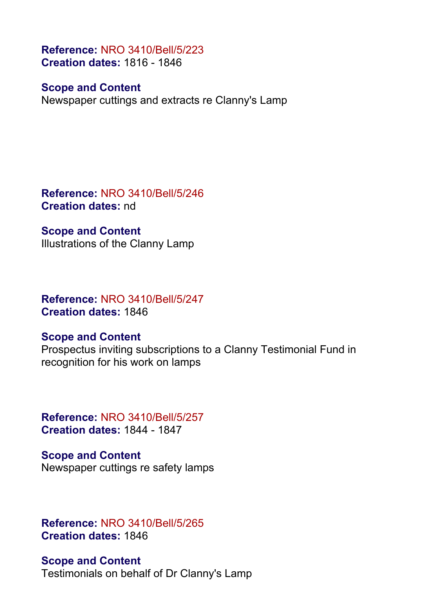**Reference:** NRO 3410/Bell/5/223 **Creation dates:** 1816 - 1846

#### **Scope and Content**

Newspaper cuttings and extracts re Clanny's Lamp

**Reference:** NRO 3410/Bell/5/246 **Creation dates:** nd

#### **Scope and Content**

Illustrations of the Clanny Lamp

**Reference:** NRO 3410/Bell/5/247 **Creation dates:** 1846

#### **Scope and Content**

Prospectus inviting subscriptions to a Clanny Testimonial Fund in recognition for his work on lamps

**Reference:** NRO 3410/Bell/5/257 **Creation dates:** 1844 - 1847

**Scope and Content** Newspaper cuttings re safety lamps

**Reference:** NRO 3410/Bell/5/265 **Creation dates:** 1846

**Scope and Content** Testimonials on behalf of Dr Clanny's Lamp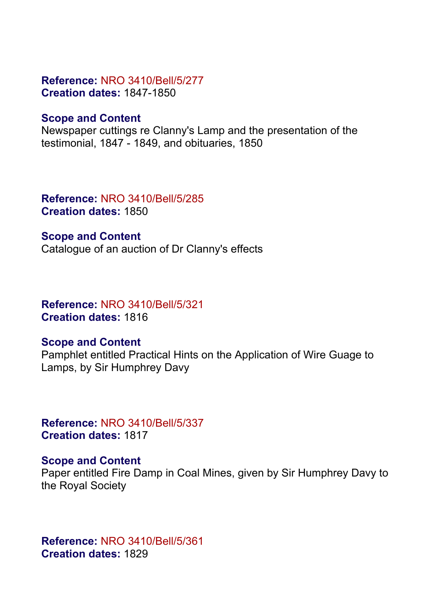# **Reference:** NRO 3410/Bell/5/277 **Creation dates:** 1847-1850

# **Scope and Content**

Newspaper cuttings re Clanny's Lamp and the presentation of the testimonial, 1847 - 1849, and obituaries, 1850

**Reference:** NRO 3410/Bell/5/285 **Creation dates:** 1850

**Scope and Content** Catalogue of an auction of Dr Clanny's effects

**Reference:** NRO 3410/Bell/5/321 **Creation dates:** 1816

## **Scope and Content**

Pamphlet entitled Practical Hints on the Application of Wire Guage to Lamps, by Sir Humphrey Davy

**Reference:** NRO 3410/Bell/5/337 **Creation dates:** 1817

## **Scope and Content**

Paper entitled Fire Damp in Coal Mines, given by Sir Humphrey Davy to the Royal Society

**Reference:** NRO 3410/Bell/5/361 **Creation dates:** 1829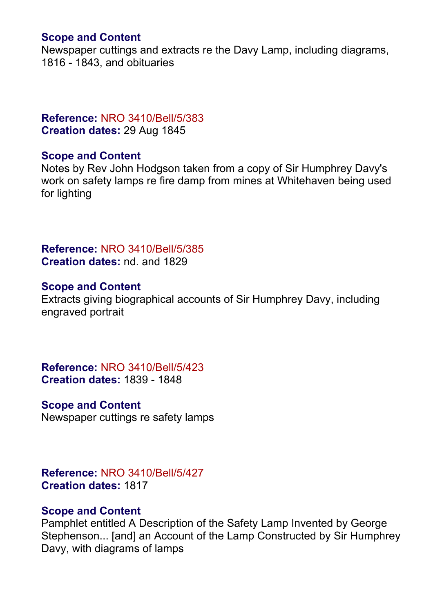## **Scope and Content**

Newspaper cuttings and extracts re the Davy Lamp, including diagrams, 1816 - 1843, and obituaries

# **Reference:** NRO 3410/Bell/5/383 **Creation dates:** 29 Aug 1845

#### **Scope and Content**

Notes by Rev John Hodgson taken from a copy of Sir Humphrey Davy's work on safety lamps re fire damp from mines at Whitehaven being used for lighting

# **Reference:** NRO 3410/Bell/5/385 **Creation dates:** nd. and 1829

#### **Scope and Content**

Extracts giving biographical accounts of Sir Humphrey Davy, including engraved portrait

**Reference:** NRO 3410/Bell/5/423 **Creation dates:** 1839 - 1848

## **Scope and Content**

Newspaper cuttings re safety lamps

**Reference:** NRO 3410/Bell/5/427 **Creation dates:** 1817

#### **Scope and Content**

Pamphlet entitled A Description of the Safety Lamp Invented by George Stephenson... [and] an Account of the Lamp Constructed by Sir Humphrey Davy, with diagrams of lamps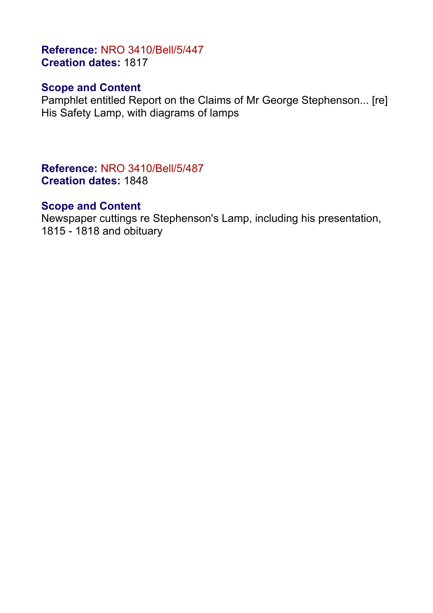# **Reference:** NRO 3410/Bell/5/447 **Creation dates:** 1817

# **Scope and Content**

Pamphlet entitled Report on the Claims of Mr George Stephenson... [re] His Safety Lamp, with diagrams of lamps

**Reference:** NRO 3410/Bell/5/487 **Creation dates:** 1848

#### **Scope and Content**

Newspaper cuttings re Stephenson's Lamp, including his presentation, 1815 - 1818 and obituary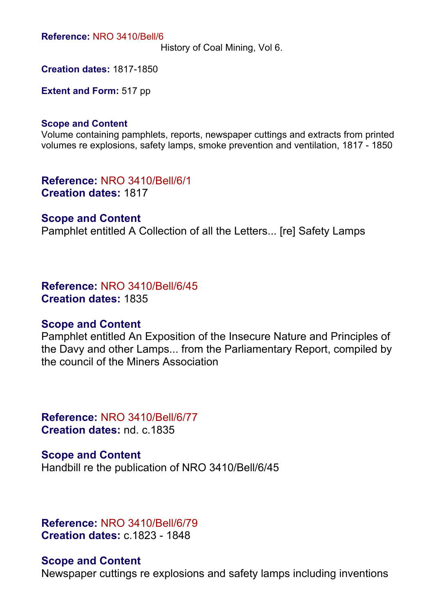**Reference:** NRO 3410/Bell/6

History of Coal Mining, Vol 6.

**Creation dates:** 1817-1850

**Extent and Form:** 517 pp

#### **Scope and Content**

Volume containing pamphlets, reports, newspaper cuttings and extracts from printed volumes re explosions, safety lamps, smoke prevention and ventilation, 1817 - 1850

**Reference:** NRO 3410/Bell/6/1 **Creation dates:** 1817

#### **Scope and Content**

Pamphlet entitled A Collection of all the Letters... [re] Safety Lamps

**Reference:** NRO 3410/Bell/6/45 **Creation dates:** 1835

#### **Scope and Content**

Pamphlet entitled An Exposition of the Insecure Nature and Principles of the Davy and other Lamps... from the Parliamentary Report, compiled by the council of the Miners Association

**Reference:** NRO 3410/Bell/6/77 **Creation dates:** nd. c.1835

**Scope and Content** Handbill re the publication of NRO 3410/Bell/6/45

**Reference:** NRO 3410/Bell/6/79 **Creation dates:** c.1823 - 1848

#### **Scope and Content**

Newspaper cuttings re explosions and safety lamps including inventions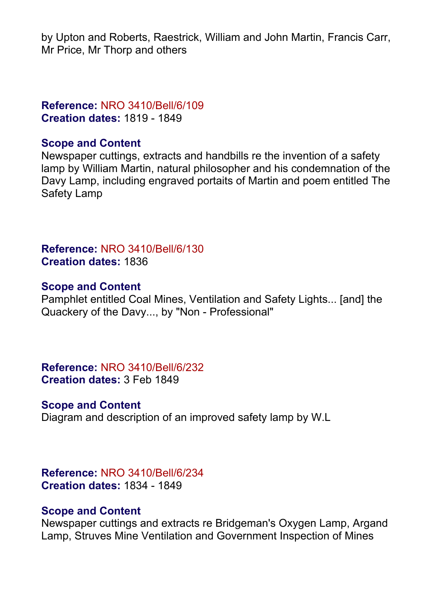by Upton and Roberts, Raestrick, William and John Martin, Francis Carr, Mr Price, Mr Thorp and others

# **Reference:** NRO 3410/Bell/6/109 **Creation dates:** 1819 - 1849

## **Scope and Content**

Newspaper cuttings, extracts and handbills re the invention of a safety lamp by William Martin, natural philosopher and his condemnation of the Davy Lamp, including engraved portaits of Martin and poem entitled The Safety Lamp

**Reference:** NRO 3410/Bell/6/130 **Creation dates:** 1836

#### **Scope and Content**

Pamphlet entitled Coal Mines, Ventilation and Safety Lights... [and] the Quackery of the Davy..., by "Non - Professional"

**Reference:** NRO 3410/Bell/6/232 **Creation dates:** 3 Feb 1849

## **Scope and Content**

Diagram and description of an improved safety lamp by W.L

**Reference:** NRO 3410/Bell/6/234 **Creation dates:** 1834 - 1849

#### **Scope and Content**

Newspaper cuttings and extracts re Bridgeman's Oxygen Lamp, Argand Lamp, Struves Mine Ventilation and Government Inspection of Mines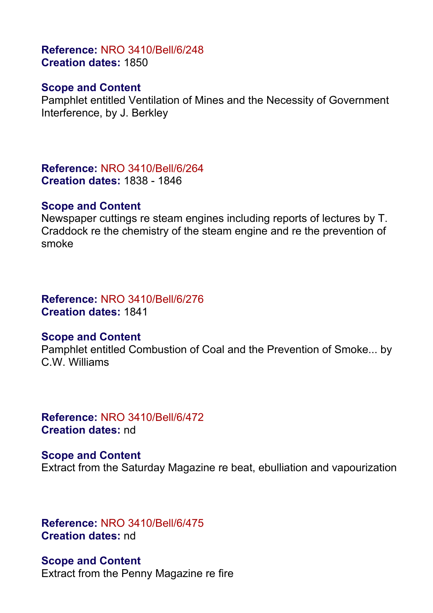# **Reference:** NRO 3410/Bell/6/248 **Creation dates:** 1850

#### **Scope and Content**

Pamphlet entitled Ventilation of Mines and the Necessity of Government Interference, by J. Berkley

**Reference:** NRO 3410/Bell/6/264 **Creation dates:** 1838 - 1846

#### **Scope and Content**

Newspaper cuttings re steam engines including reports of lectures by T. Craddock re the chemistry of the steam engine and re the prevention of smoke

# **Reference:** NRO 3410/Bell/6/276 **Creation dates:** 1841

#### **Scope and Content**

Pamphlet entitled Combustion of Coal and the Prevention of Smoke... by C.W. Williams

**Reference:** NRO 3410/Bell/6/472 **Creation dates:** nd

**Scope and Content** Extract from the Saturday Magazine re beat, ebulliation and vapourization

**Reference:** NRO 3410/Bell/6/475 **Creation dates:** nd

**Scope and Content** Extract from the Penny Magazine re fire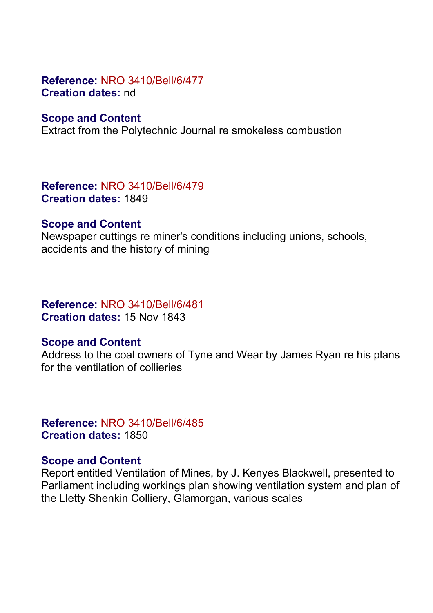## **Reference:** NRO 3410/Bell/6/477 **Creation dates:** nd

#### **Scope and Content**

Extract from the Polytechnic Journal re smokeless combustion

**Reference:** NRO 3410/Bell/6/479 **Creation dates:** 1849

#### **Scope and Content**

Newspaper cuttings re miner's conditions including unions, schools, accidents and the history of mining

## **Reference:** NRO 3410/Bell/6/481 **Creation dates:** 15 Nov 1843

#### **Scope and Content**

Address to the coal owners of Tyne and Wear by James Ryan re his plans for the ventilation of collieries

**Reference:** NRO 3410/Bell/6/485 **Creation dates:** 1850

#### **Scope and Content**

Report entitled Ventilation of Mines, by J. Kenyes Blackwell, presented to Parliament including workings plan showing ventilation system and plan of the Lletty Shenkin Colliery, Glamorgan, various scales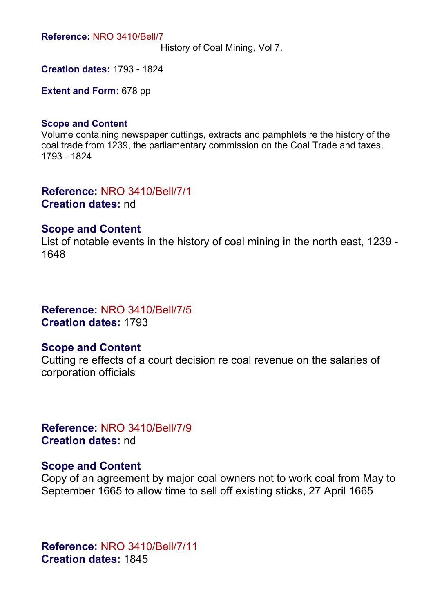**Reference:** NRO 3410/Bell/7

History of Coal Mining, Vol 7.

**Creation dates:** 1793 - 1824

**Extent and Form:** 678 pp

#### **Scope and Content**

Volume containing newspaper cuttings, extracts and pamphlets re the history of the coal trade from 1239, the parliamentary commission on the Coal Trade and taxes, 1793 - 1824

**Reference:** NRO 3410/Bell/7/1 **Creation dates:** nd

#### **Scope and Content**

List of notable events in the history of coal mining in the north east, 1239 - 1648

**Reference:** NRO 3410/Bell/7/5 **Creation dates:** 1793

#### **Scope and Content**

Cutting re effects of a court decision re coal revenue on the salaries of corporation officials

**Reference:** NRO 3410/Bell/7/9 **Creation dates:** nd

#### **Scope and Content**

Copy of an agreement by major coal owners not to work coal from May to September 1665 to allow time to sell off existing sticks, 27 April 1665

**Reference:** NRO 3410/Bell/7/11 **Creation dates:** 1845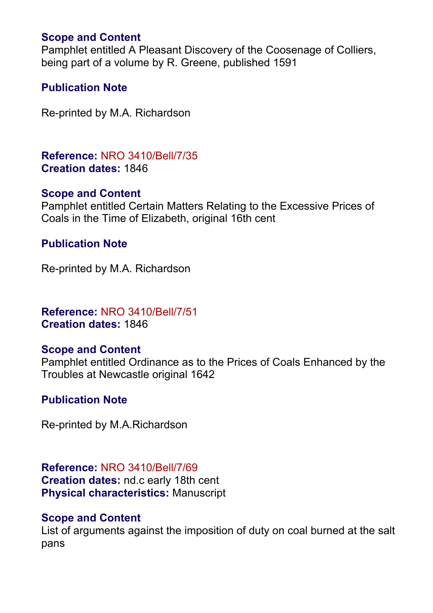# **Scope and Content**

Pamphlet entitled A Pleasant Discovery of the Coosenage of Colliers, being part of a volume by R. Greene, published 1591

# **Publication Note**

Re-printed by M.A. Richardson

**Reference:** NRO 3410/Bell/7/35 **Creation dates:** 1846

## **Scope and Content**

Pamphlet entitled Certain Matters Relating to the Excessive Prices of Coals in the Time of Elizabeth, original 16th cent

# **Publication Note**

Re-printed by M.A. Richardson

# **Reference:** NRO 3410/Bell/7/51 **Creation dates:** 1846

# **Scope and Content**

Pamphlet entitled Ordinance as to the Prices of Coals Enhanced by the Troubles at Newcastle original 1642

# **Publication Note**

Re-printed by M.A.Richardson

**Reference:** NRO 3410/Bell/7/69 **Creation dates:** nd.c early 18th cent **Physical characteristics:** Manuscript

## **Scope and Content**

List of arguments against the imposition of duty on coal burned at the salt pans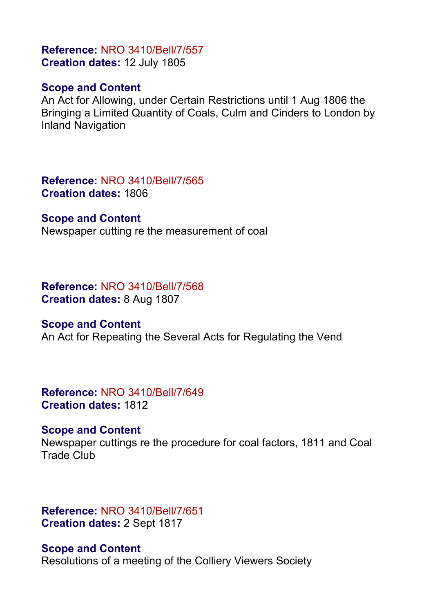# **Reference:** NRO 3410/Bell/7/557 **Creation dates:** 12 July 1805

## **Scope and Content**

An Act for Allowing, under Certain Restrictions until 1 Aug 1806 the Bringing a Limited Quantity of Coals, Culm and Cinders to London by Inland Navigation

**Reference:** NRO 3410/Bell/7/565 **Creation dates:** 1806

#### **Scope and Content**

Newspaper cutting re the measurement of coal

#### **Reference:** NRO 3410/Bell/7/568 **Creation dates:** 8 Aug 1807

## **Scope and Content**

An Act for Repeating the Several Acts for Regulating the Vend

## **Reference:** NRO 3410/Bell/7/649 **Creation dates:** 1812

## **Scope and Content**

Newspaper cuttings re the procedure for coal factors, 1811 and Coal Trade Club

# **Reference:** NRO 3410/Bell/7/651 **Creation dates:** 2 Sept 1817

**Scope and Content** Resolutions of a meeting of the Colliery Viewers Society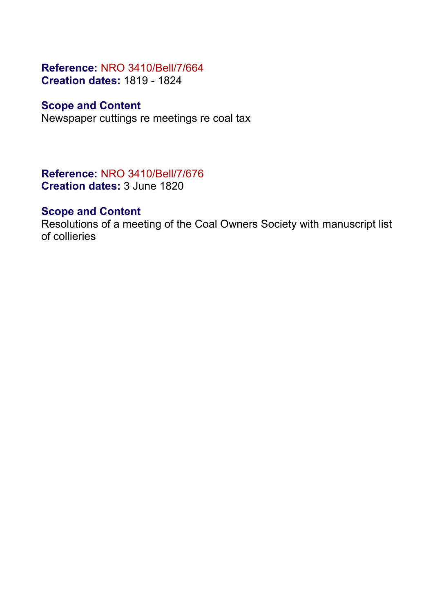# **Reference:** NRO 3410/Bell/7/664 **Creation dates:** 1819 - 1824

# **Scope and Content**

Newspaper cuttings re meetings re coal tax

**Reference:** NRO 3410/Bell/7/676 **Creation dates:** 3 June 1820

# **Scope and Content**

Resolutions of a meeting of the Coal Owners Society with manuscript list of collieries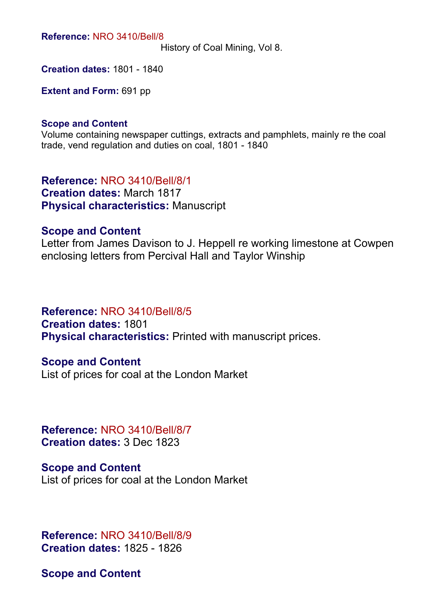**Reference:** NRO 3410/Bell/8

History of Coal Mining, Vol 8.

**Creation dates:** 1801 - 1840

**Extent and Form:** 691 pp

#### **Scope and Content**

Volume containing newspaper cuttings, extracts and pamphlets, mainly re the coal trade, vend regulation and duties on coal, 1801 - 1840

**Reference:** NRO 3410/Bell/8/1 **Creation dates:** March 1817 **Physical characteristics:** Manuscript

#### **Scope and Content**

Letter from James Davison to J. Heppell re working limestone at Cowpen enclosing letters from Percival Hall and Taylor Winship

## **Reference:** NRO 3410/Bell/8/5

**Creation dates:** 1801 **Physical characteristics:** Printed with manuscript prices.

#### **Scope and Content**

List of prices for coal at the London Market

**Reference:** NRO 3410/Bell/8/7 **Creation dates:** 3 Dec 1823

**Scope and Content** List of prices for coal at the London Market

**Reference:** NRO 3410/Bell/8/9 **Creation dates:** 1825 - 1826

**Scope and Content**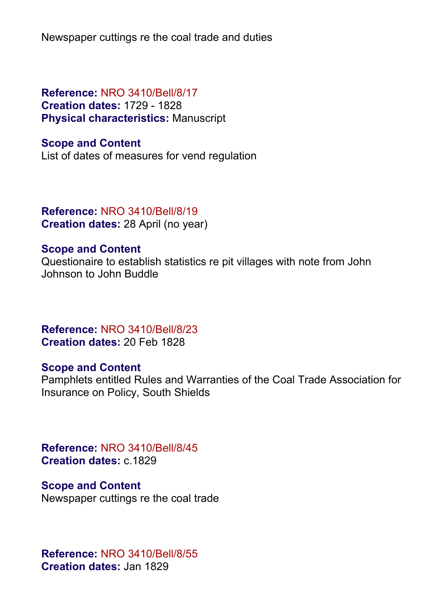Newspaper cuttings re the coal trade and duties

# **Reference:** NRO 3410/Bell/8/17 **Creation dates:** 1729 - 1828 **Physical characteristics:** Manuscript

## **Scope and Content**

List of dates of measures for vend regulation

## **Reference:** NRO 3410/Bell/8/19 **Creation dates:** 28 April (no year)

#### **Scope and Content**

Questionaire to establish statistics re pit villages with note from John Johnson to John Buddle

**Reference:** NRO 3410/Bell/8/23 **Creation dates:** 20 Feb 1828

#### **Scope and Content**

Pamphlets entitled Rules and Warranties of the Coal Trade Association for Insurance on Policy, South Shields

**Reference:** NRO 3410/Bell/8/45 **Creation dates:** c.1829

# **Scope and Content**

Newspaper cuttings re the coal trade

**Reference:** NRO 3410/Bell/8/55 **Creation dates:** Jan 1829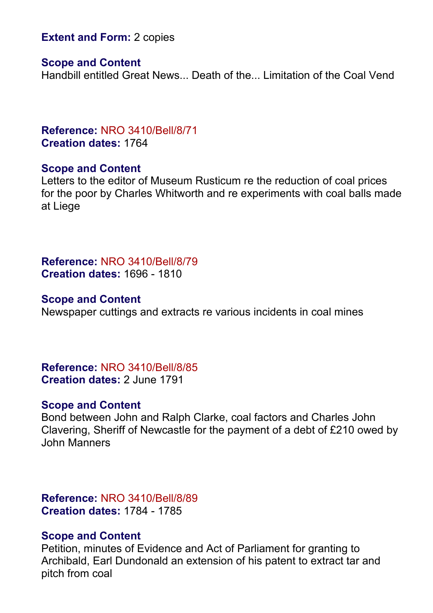## **Extent and Form: 2 copies**

#### **Scope and Content**

Handbill entitled Great News... Death of the... Limitation of the Coal Vend

#### **Reference:** NRO 3410/Bell/8/71 **Creation dates:** 1764

#### **Scope and Content**

Letters to the editor of Museum Rusticum re the reduction of coal prices for the poor by Charles Whitworth and re experiments with coal balls made at Liege

**Reference:** NRO 3410/Bell/8/79 **Creation dates:** 1696 - 1810

#### **Scope and Content**

Newspaper cuttings and extracts re various incidents in coal mines

**Reference:** NRO 3410/Bell/8/85 **Creation dates:** 2 June 1791

#### **Scope and Content**

Bond between John and Ralph Clarke, coal factors and Charles John Clavering, Sheriff of Newcastle for the payment of a debt of £210 owed by John Manners

**Reference:** NRO 3410/Bell/8/89 **Creation dates:** 1784 - 1785

#### **Scope and Content**

Petition, minutes of Evidence and Act of Parliament for granting to Archibald, Earl Dundonald an extension of his patent to extract tar and pitch from coal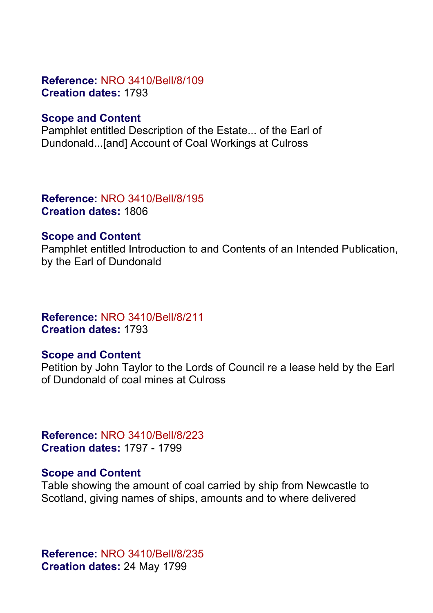## **Reference:** NRO 3410/Bell/8/109 **Creation dates:** 1793

## **Scope and Content**

Pamphlet entitled Description of the Estate... of the Earl of Dundonald...[and] Account of Coal Workings at Culross

# **Reference:** NRO 3410/Bell/8/195 **Creation dates:** 1806

#### **Scope and Content**

Pamphlet entitled Introduction to and Contents of an Intended Publication, by the Earl of Dundonald

# **Reference:** NRO 3410/Bell/8/211 **Creation dates:** 1793

## **Scope and Content**

Petition by John Taylor to the Lords of Council re a lease held by the Earl of Dundonald of coal mines at Culross

**Reference:** NRO 3410/Bell/8/223 **Creation dates:** 1797 - 1799

#### **Scope and Content**

Table showing the amount of coal carried by ship from Newcastle to Scotland, giving names of ships, amounts and to where delivered

**Reference:** NRO 3410/Bell/8/235 **Creation dates:** 24 May 1799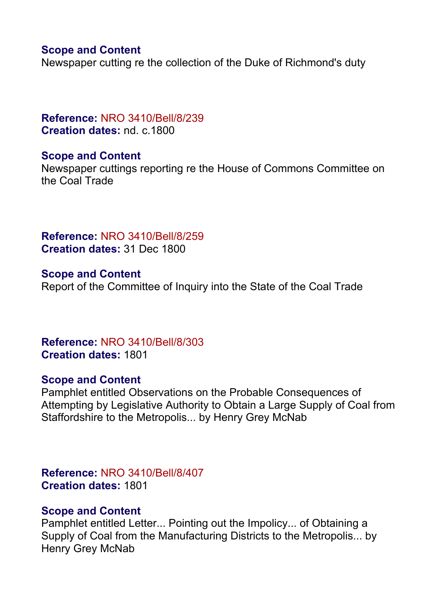## **Scope and Content**

Newspaper cutting re the collection of the Duke of Richmond's duty

**Reference:** NRO 3410/Bell/8/239 **Creation dates:** nd. c.1800

#### **Scope and Content**

Newspaper cuttings reporting re the House of Commons Committee on the Coal Trade

**Reference:** NRO 3410/Bell/8/259 **Creation dates:** 31 Dec 1800

**Scope and Content** Report of the Committee of Inquiry into the State of the Coal Trade

**Reference:** NRO 3410/Bell/8/303 **Creation dates:** 1801

## **Scope and Content**

Pamphlet entitled Observations on the Probable Consequences of Attempting by Legislative Authority to Obtain a Large Supply of Coal from Staffordshire to the Metropolis... by Henry Grey McNab

**Reference:** NRO 3410/Bell/8/407 **Creation dates:** 1801

#### **Scope and Content**

Pamphlet entitled Letter... Pointing out the Impolicy... of Obtaining a Supply of Coal from the Manufacturing Districts to the Metropolis... by Henry Grey McNab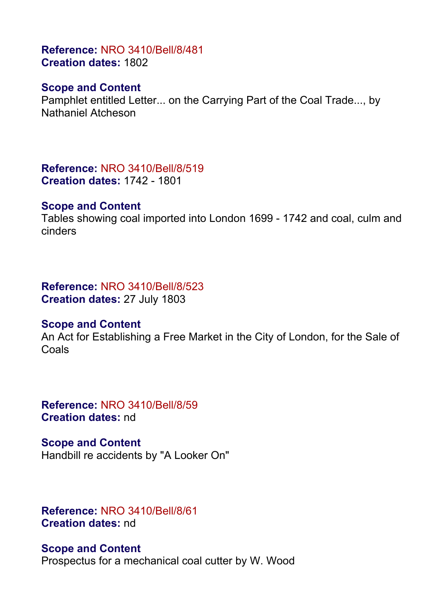# **Reference:** NRO 3410/Bell/8/481 **Creation dates:** 1802

#### **Scope and Content**

Pamphlet entitled Letter... on the Carrying Part of the Coal Trade..., by Nathaniel Atcheson

**Reference:** NRO 3410/Bell/8/519 **Creation dates:** 1742 - 1801

#### **Scope and Content**

Tables showing coal imported into London 1699 - 1742 and coal, culm and cinders

#### **Reference:** NRO 3410/Bell/8/523 **Creation dates:** 27 July 1803

#### **Scope and Content**

An Act for Establishing a Free Market in the City of London, for the Sale of Coals

**Reference:** NRO 3410/Bell/8/59 **Creation dates:** nd

**Scope and Content** Handbill re accidents by "A Looker On"

# **Reference:** NRO 3410/Bell/8/61 **Creation dates:** nd

**Scope and Content** Prospectus for a mechanical coal cutter by W. Wood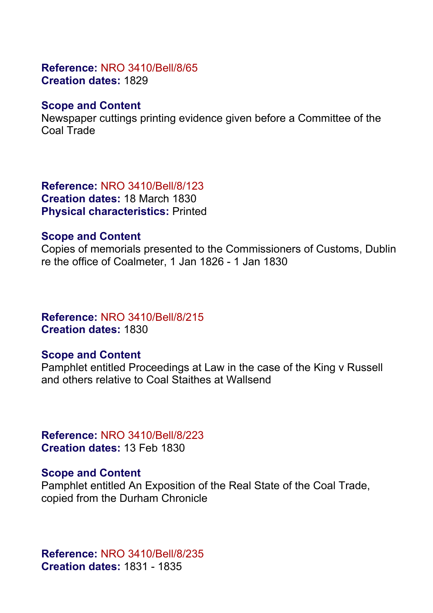## **Reference:** NRO 3410/Bell/8/65 **Creation dates:** 1829

# **Scope and Content**

Newspaper cuttings printing evidence given before a Committee of the Coal Trade

**Reference:** NRO 3410/Bell/8/123 **Creation dates:** 18 March 1830 **Physical characteristics:** Printed

# **Scope and Content**

Copies of memorials presented to the Commissioners of Customs, Dublin re the office of Coalmeter, 1 Jan 1826 - 1 Jan 1830

# **Reference:** NRO 3410/Bell/8/215 **Creation dates:** 1830

# **Scope and Content**

Pamphlet entitled Proceedings at Law in the case of the King v Russell and others relative to Coal Staithes at Wallsend

**Reference:** NRO 3410/Bell/8/223 **Creation dates:** 13 Feb 1830

## **Scope and Content**

Pamphlet entitled An Exposition of the Real State of the Coal Trade, copied from the Durham Chronicle

**Reference:** NRO 3410/Bell/8/235 **Creation dates:** 1831 - 1835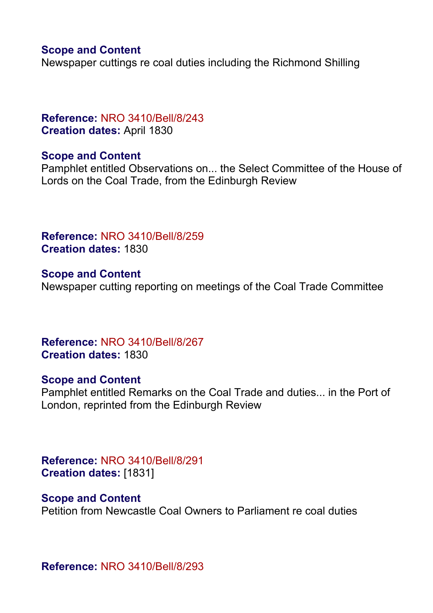## **Scope and Content**

Newspaper cuttings re coal duties including the Richmond Shilling

## **Reference:** NRO 3410/Bell/8/243 **Creation dates:** April 1830

#### **Scope and Content**

Pamphlet entitled Observations on... the Select Committee of the House of Lords on the Coal Trade, from the Edinburgh Review

**Reference:** NRO 3410/Bell/8/259 **Creation dates:** 1830

**Scope and Content** Newspaper cutting reporting on meetings of the Coal Trade Committee

**Reference:** NRO 3410/Bell/8/267 **Creation dates:** 1830

#### **Scope and Content**

Pamphlet entitled Remarks on the Coal Trade and duties... in the Port of London, reprinted from the Edinburgh Review

**Reference:** NRO 3410/Bell/8/291 **Creation dates:** [1831]

#### **Scope and Content**

Petition from Newcastle Coal Owners to Parliament re coal duties

**Reference:** NRO 3410/Bell/8/293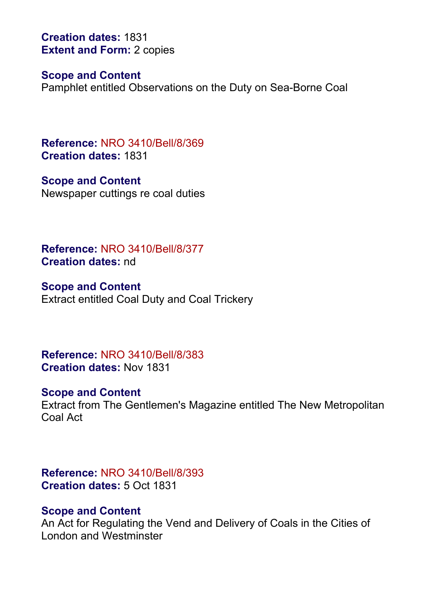**Creation dates:** 1831 **Extent and Form: 2 copies** 

#### **Scope and Content**

Pamphlet entitled Observations on the Duty on Sea-Borne Coal

**Reference:** NRO 3410/Bell/8/369 **Creation dates:** 1831

**Scope and Content** Newspaper cuttings re coal duties

**Reference:** NRO 3410/Bell/8/377 **Creation dates:** nd

**Scope and Content** Extract entitled Coal Duty and Coal Trickery

**Reference:** NRO 3410/Bell/8/383 **Creation dates:** Nov 1831

#### **Scope and Content**

Extract from The Gentlemen's Magazine entitled The New Metropolitan Coal Act

**Reference:** NRO 3410/Bell/8/393 **Creation dates:** 5 Oct 1831

#### **Scope and Content**

An Act for Regulating the Vend and Delivery of Coals in the Cities of London and Westminster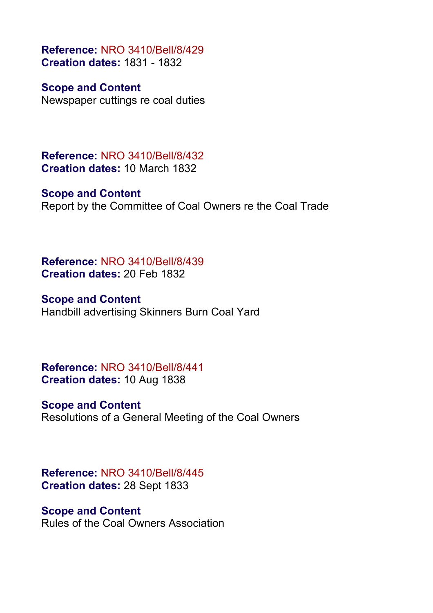**Reference:** NRO 3410/Bell/8/429 **Creation dates:** 1831 - 1832

**Scope and Content** Newspaper cuttings re coal duties

**Reference:** NRO 3410/Bell/8/432 **Creation dates:** 10 March 1832

**Scope and Content** Report by the Committee of Coal Owners re the Coal Trade

**Reference:** NRO 3410/Bell/8/439 **Creation dates:** 20 Feb 1832

**Scope and Content** Handbill advertising Skinners Burn Coal Yard

**Reference:** NRO 3410/Bell/8/441 **Creation dates:** 10 Aug 1838

**Scope and Content** Resolutions of a General Meeting of the Coal Owners

**Reference:** NRO 3410/Bell/8/445 **Creation dates:** 28 Sept 1833

**Scope and Content** Rules of the Coal Owners Association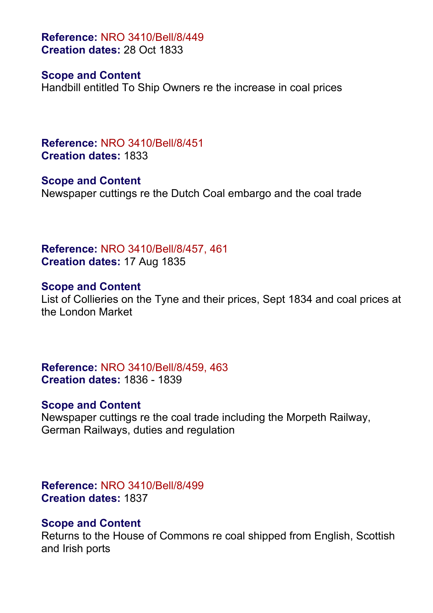**Reference:** NRO 3410/Bell/8/449 **Creation dates:** 28 Oct 1833

#### **Scope and Content**

Handbill entitled To Ship Owners re the increase in coal prices

**Reference:** NRO 3410/Bell/8/451 **Creation dates:** 1833

**Scope and Content** Newspaper cuttings re the Dutch Coal embargo and the coal trade

**Reference:** NRO 3410/Bell/8/457, 461 **Creation dates:** 17 Aug 1835

#### **Scope and Content**

List of Collieries on the Tyne and their prices, Sept 1834 and coal prices at the London Market

**Reference:** NRO 3410/Bell/8/459, 463 **Creation dates:** 1836 - 1839

#### **Scope and Content**

Newspaper cuttings re the coal trade including the Morpeth Railway, German Railways, duties and regulation

**Reference:** NRO 3410/Bell/8/499 **Creation dates:** 1837

#### **Scope and Content**

Returns to the House of Commons re coal shipped from English, Scottish and Irish ports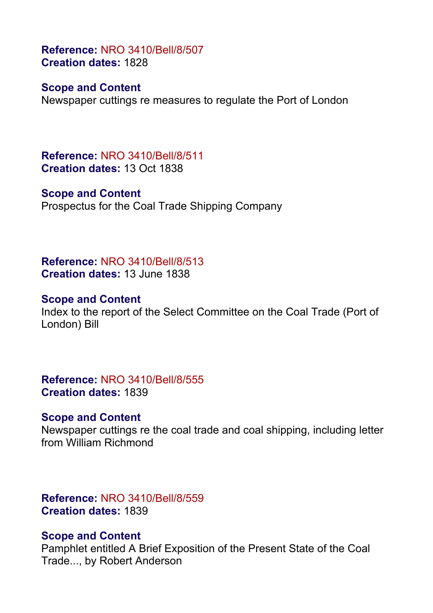**Reference:** NRO 3410/Bell/8/507 **Creation dates:** 1828

## **Scope and Content**

Newspaper cuttings re measures to regulate the Port of London

**Reference:** NRO 3410/Bell/8/511 **Creation dates:** 13 Oct 1838

#### **Scope and Content**

Prospectus for the Coal Trade Shipping Company

**Reference:** NRO 3410/Bell/8/513 **Creation dates:** 13 June 1838

#### **Scope and Content**

Index to the report of the Select Committee on the Coal Trade (Port of London) Bill

**Reference:** NRO 3410/Bell/8/555 **Creation dates:** 1839

#### **Scope and Content**

Newspaper cuttings re the coal trade and coal shipping, including letter from William Richmond

**Reference:** NRO 3410/Bell/8/559 **Creation dates:** 1839

#### **Scope and Content**

Pamphlet entitled A Brief Exposition of the Present State of the Coal Trade..., by Robert Anderson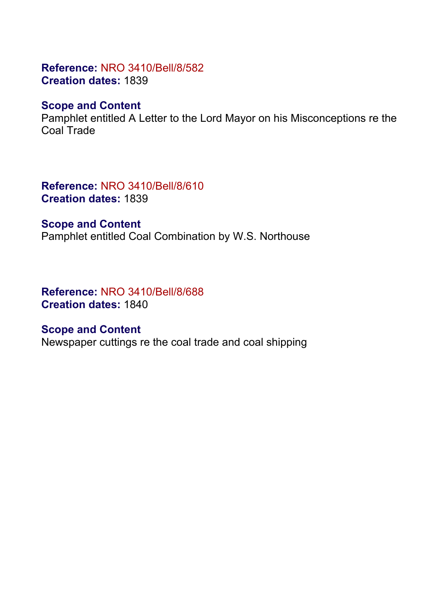# **Reference:** NRO 3410/Bell/8/582 **Creation dates:** 1839

# **Scope and Content**

Pamphlet entitled A Letter to the Lord Mayor on his Misconceptions re the Coal Trade

**Reference:** NRO 3410/Bell/8/610 **Creation dates:** 1839

#### **Scope and Content**

Pamphlet entitled Coal Combination by W.S. Northouse

**Reference:** NRO 3410/Bell/8/688 **Creation dates:** 1840

## **Scope and Content**

Newspaper cuttings re the coal trade and coal shipping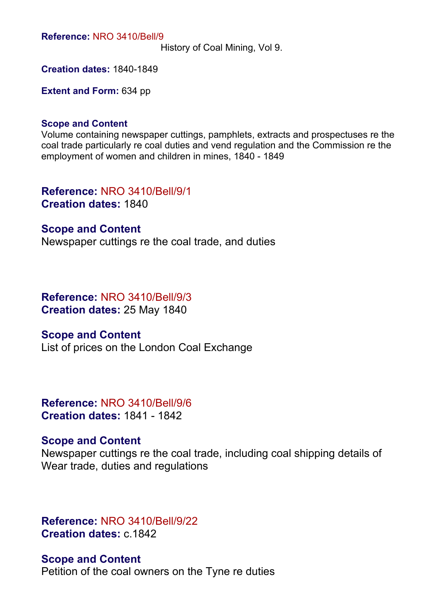**Reference:** NRO 3410/Bell/9

History of Coal Mining, Vol 9.

**Creation dates:** 1840-1849

**Extent and Form:** 634 pp

#### **Scope and Content**

Volume containing newspaper cuttings, pamphlets, extracts and prospectuses re the coal trade particularly re coal duties and vend regulation and the Commission re the employment of women and children in mines, 1840 - 1849

**Reference:** NRO 3410/Bell/9/1 **Creation dates:** 1840

#### **Scope and Content**

Newspaper cuttings re the coal trade, and duties

**Reference:** NRO 3410/Bell/9/3 **Creation dates:** 25 May 1840

#### **Scope and Content**

List of prices on the London Coal Exchange

**Reference:** NRO 3410/Bell/9/6 **Creation dates:** 1841 - 1842

#### **Scope and Content**

Newspaper cuttings re the coal trade, including coal shipping details of Wear trade, duties and regulations

**Reference:** NRO 3410/Bell/9/22 **Creation dates:** c.1842

**Scope and Content** Petition of the coal owners on the Tyne re duties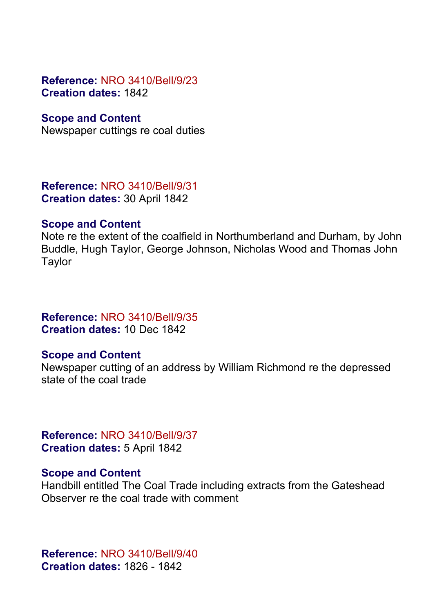## **Reference:** NRO 3410/Bell/9/23 **Creation dates:** 1842

## **Scope and Content**

Newspaper cuttings re coal duties

**Reference:** NRO 3410/Bell/9/31 **Creation dates:** 30 April 1842

#### **Scope and Content**

Note re the extent of the coalfield in Northumberland and Durham, by John Buddle, Hugh Taylor, George Johnson, Nicholas Wood and Thomas John **Taylor** 

**Reference:** NRO 3410/Bell/9/35 **Creation dates:** 10 Dec 1842

## **Scope and Content**

Newspaper cutting of an address by William Richmond re the depressed state of the coal trade

**Reference:** NRO 3410/Bell/9/37 **Creation dates:** 5 April 1842

#### **Scope and Content**

Handbill entitled The Coal Trade including extracts from the Gateshead Observer re the coal trade with comment

**Reference:** NRO 3410/Bell/9/40 **Creation dates:** 1826 - 1842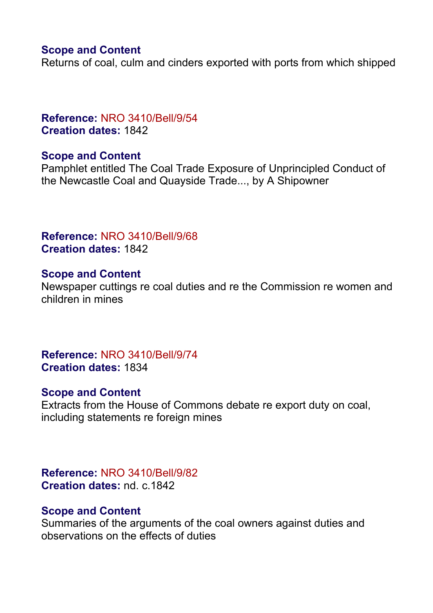# **Scope and Content**

Returns of coal, culm and cinders exported with ports from which shipped

## **Reference:** NRO 3410/Bell/9/54 **Creation dates:** 1842

## **Scope and Content**

Pamphlet entitled The Coal Trade Exposure of Unprincipled Conduct of the Newcastle Coal and Quayside Trade..., by A Shipowner

# **Reference:** NRO 3410/Bell/9/68 **Creation dates:** 1842

#### **Scope and Content**

Newspaper cuttings re coal duties and re the Commission re women and children in mines

**Reference:** NRO 3410/Bell/9/74 **Creation dates:** 1834

## **Scope and Content**

Extracts from the House of Commons debate re export duty on coal, including statements re foreign mines

**Reference:** NRO 3410/Bell/9/82 **Creation dates:** nd. c.1842

#### **Scope and Content**

Summaries of the arguments of the coal owners against duties and observations on the effects of duties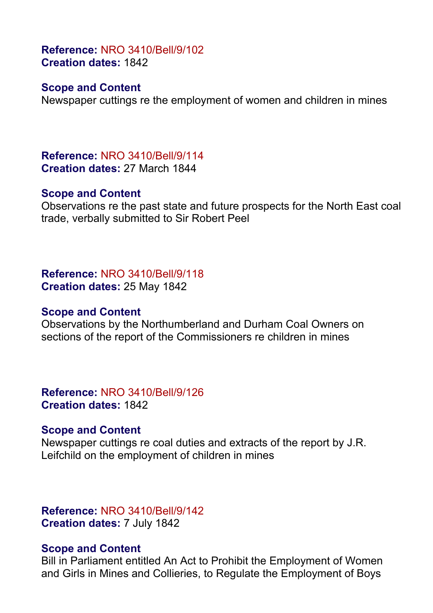**Reference:** NRO 3410/Bell/9/102 **Creation dates:** 1842

## **Scope and Content**

Newspaper cuttings re the employment of women and children in mines

**Reference:** NRO 3410/Bell/9/114 **Creation dates:** 27 March 1844

#### **Scope and Content**

Observations re the past state and future prospects for the North East coal trade, verbally submitted to Sir Robert Peel

**Reference:** NRO 3410/Bell/9/118 **Creation dates:** 25 May 1842

#### **Scope and Content**

Observations by the Northumberland and Durham Coal Owners on sections of the report of the Commissioners re children in mines

**Reference:** NRO 3410/Bell/9/126 **Creation dates:** 1842

#### **Scope and Content**

Newspaper cuttings re coal duties and extracts of the report by J.R. Leifchild on the employment of children in mines

**Reference:** NRO 3410/Bell/9/142 **Creation dates:** 7 July 1842

#### **Scope and Content**

Bill in Parliament entitled An Act to Prohibit the Employment of Women and Girls in Mines and Collieries, to Regulate the Employment of Boys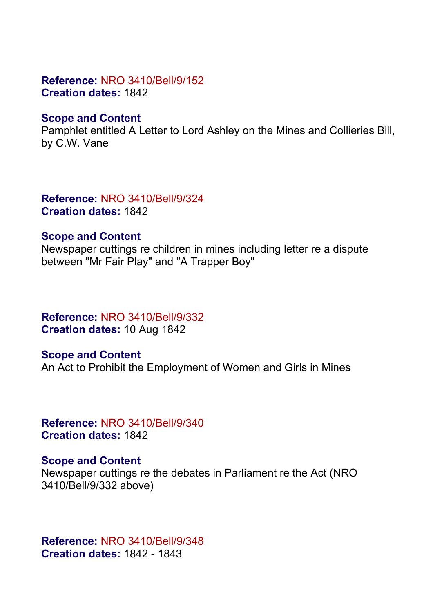## **Reference:** NRO 3410/Bell/9/152 **Creation dates:** 1842

#### **Scope and Content**

Pamphlet entitled A Letter to Lord Ashley on the Mines and Collieries Bill, by C.W. Vane

**Reference:** NRO 3410/Bell/9/324 **Creation dates:** 1842

#### **Scope and Content**

Newspaper cuttings re children in mines including letter re a dispute between "Mr Fair Play" and "A Trapper Boy"

**Reference:** NRO 3410/Bell/9/332 **Creation dates:** 10 Aug 1842

**Scope and Content** An Act to Prohibit the Employment of Women and Girls in Mines

**Reference:** NRO 3410/Bell/9/340 **Creation dates:** 1842

## **Scope and Content**

Newspaper cuttings re the debates in Parliament re the Act (NRO 3410/Bell/9/332 above)

**Reference:** NRO 3410/Bell/9/348 **Creation dates:** 1842 - 1843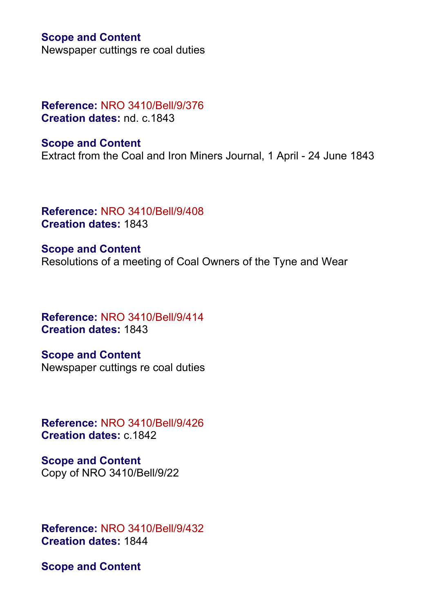#### **Scope and Content**

Newspaper cuttings re coal duties

## **Reference:** NRO 3410/Bell/9/376 **Creation dates:** nd. c.1843

**Scope and Content** Extract from the Coal and Iron Miners Journal, 1 April - 24 June 1843

**Reference:** NRO 3410/Bell/9/408 **Creation dates:** 1843

**Scope and Content** Resolutions of a meeting of Coal Owners of the Tyne and Wear

**Reference:** NRO 3410/Bell/9/414 **Creation dates:** 1843

**Scope and Content** Newspaper cuttings re coal duties

**Reference:** NRO 3410/Bell/9/426 **Creation dates:** c.1842

**Scope and Content** Copy of NRO 3410/Bell/9/22

**Reference:** NRO 3410/Bell/9/432 **Creation dates:** 1844

**Scope and Content**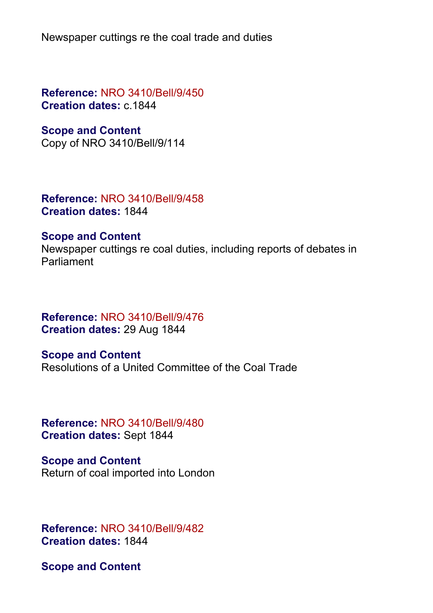Newspaper cuttings re the coal trade and duties

**Reference:** NRO 3410/Bell/9/450 **Creation dates:** c.1844

# **Scope and Content**

Copy of NRO 3410/Bell/9/114

**Reference:** NRO 3410/Bell/9/458 **Creation dates:** 1844

#### **Scope and Content**

Newspaper cuttings re coal duties, including reports of debates in Parliament

# **Reference:** NRO 3410/Bell/9/476 **Creation dates:** 29 Aug 1844

**Scope and Content** Resolutions of a United Committee of the Coal Trade

**Reference:** NRO 3410/Bell/9/480 **Creation dates:** Sept 1844

**Scope and Content** Return of coal imported into London

**Reference:** NRO 3410/Bell/9/482 **Creation dates:** 1844

**Scope and Content**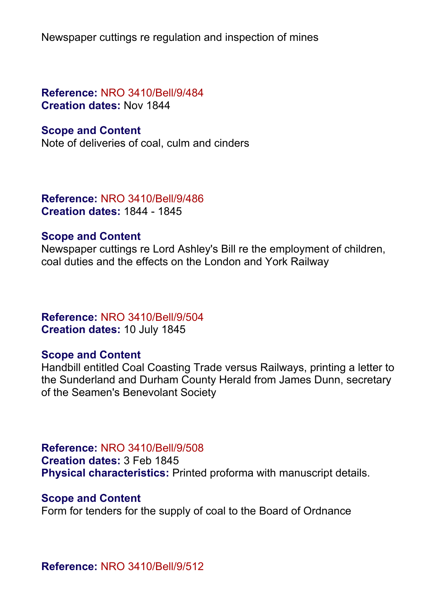Newspaper cuttings re regulation and inspection of mines

**Reference:** NRO 3410/Bell/9/484 **Creation dates:** Nov 1844

#### **Scope and Content**

Note of deliveries of coal, culm and cinders

**Reference:** NRO 3410/Bell/9/486 **Creation dates:** 1844 - 1845

#### **Scope and Content**

Newspaper cuttings re Lord Ashley's Bill re the employment of children, coal duties and the effects on the London and York Railway

# **Reference:** NRO 3410/Bell/9/504 **Creation dates:** 10 July 1845

## **Scope and Content**

Handbill entitled Coal Coasting Trade versus Railways, printing a letter to the Sunderland and Durham County Herald from James Dunn, secretary of the Seamen's Benevolant Society

**Reference:** NRO 3410/Bell/9/508

**Creation dates:** 3 Feb 1845

**Physical characteristics:** Printed proforma with manuscript details.

#### **Scope and Content**

Form for tenders for the supply of coal to the Board of Ordnance

**Reference:** NRO 3410/Bell/9/512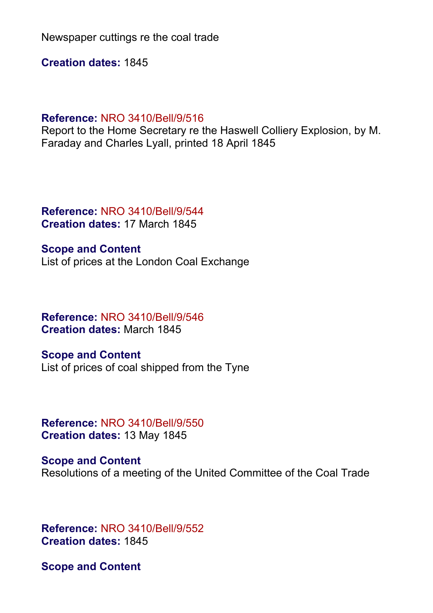Newspaper cuttings re the coal trade

**Creation dates:** 1845

#### **Reference:** NRO 3410/Bell/9/516

Report to the Home Secretary re the Haswell Colliery Explosion, by M. Faraday and Charles Lyall, printed 18 April 1845

**Reference:** NRO 3410/Bell/9/544 **Creation dates:** 17 March 1845

**Scope and Content** List of prices at the London Coal Exchange

**Reference:** NRO 3410/Bell/9/546 **Creation dates:** March 1845

**Scope and Content** List of prices of coal shipped from the Tyne

**Reference:** NRO 3410/Bell/9/550 **Creation dates:** 13 May 1845

**Scope and Content** Resolutions of a meeting of the United Committee of the Coal Trade

**Reference:** NRO 3410/Bell/9/552 **Creation dates:** 1845

**Scope and Content**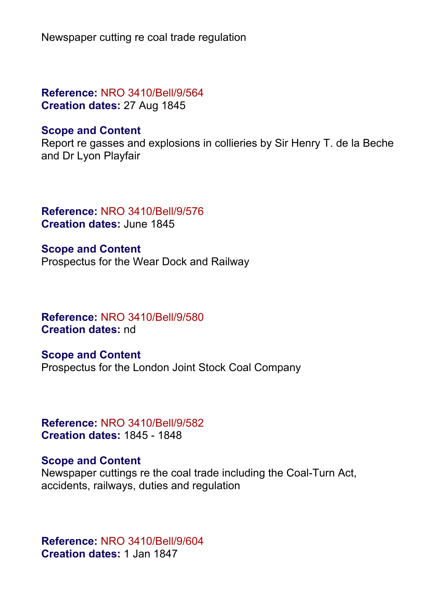Newspaper cutting re coal trade regulation

**Reference:** NRO 3410/Bell/9/564 **Creation dates:** 27 Aug 1845

#### **Scope and Content**

Report re gasses and explosions in collieries by Sir Henry T. de la Beche and Dr Lyon Playfair

**Reference:** NRO 3410/Bell/9/576 **Creation dates:** June 1845

**Scope and Content** Prospectus for the Wear Dock and Railway

**Reference:** NRO 3410/Bell/9/580 **Creation dates:** nd

**Scope and Content** Prospectus for the London Joint Stock Coal Company

**Reference:** NRO 3410/Bell/9/582 **Creation dates:** 1845 - 1848

#### **Scope and Content**

Newspaper cuttings re the coal trade including the Coal-Turn Act, accidents, railways, duties and regulation

**Reference:** NRO 3410/Bell/9/604 **Creation dates:** 1 Jan 1847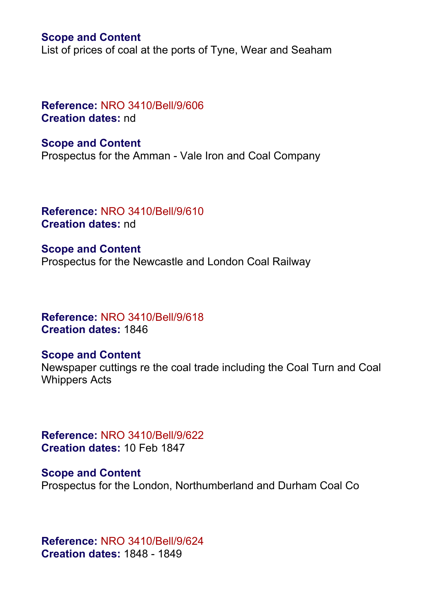#### **Scope and Content**

List of prices of coal at the ports of Tyne, Wear and Seaham

## **Reference:** NRO 3410/Bell/9/606 **Creation dates:** nd

**Scope and Content** Prospectus for the Amman - Vale Iron and Coal Company

**Reference:** NRO 3410/Bell/9/610 **Creation dates:** nd

**Scope and Content** Prospectus for the Newcastle and London Coal Railway

**Reference:** NRO 3410/Bell/9/618 **Creation dates:** 1846

#### **Scope and Content**

Newspaper cuttings re the coal trade including the Coal Turn and Coal Whippers Acts

**Reference:** NRO 3410/Bell/9/622 **Creation dates:** 10 Feb 1847

**Scope and Content** Prospectus for the London, Northumberland and Durham Coal Co

**Reference:** NRO 3410/Bell/9/624 **Creation dates:** 1848 - 1849